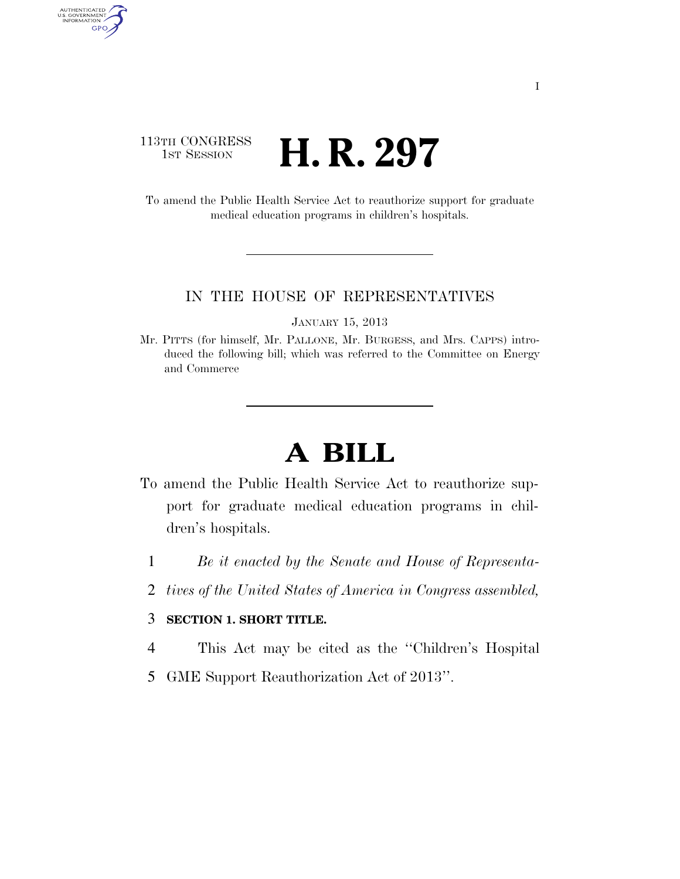## 113TH CONGRESS **1st Session H. R. 297**

AUTHENTICATED<br>U.S. GOVERNMENT<br>INFORMATION

GPO

To amend the Public Health Service Act to reauthorize support for graduate medical education programs in children's hospitals.

## IN THE HOUSE OF REPRESENTATIVES

JANUARY 15, 2013

Mr. PITTS (for himself, Mr. PALLONE, Mr. BURGESS, and Mrs. CAPPS) introduced the following bill; which was referred to the Committee on Energy and Commerce

## **A BILL**

- To amend the Public Health Service Act to reauthorize support for graduate medical education programs in children's hospitals.
	- 1 *Be it enacted by the Senate and House of Representa-*
	- 2 *tives of the United States of America in Congress assembled,*

## 3 **SECTION 1. SHORT TITLE.**

- 4 This Act may be cited as the ''Children's Hospital
- 5 GME Support Reauthorization Act of 2013''.